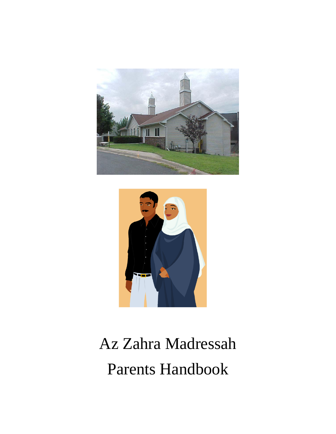



# Az Zahra Madressah Parents Handbook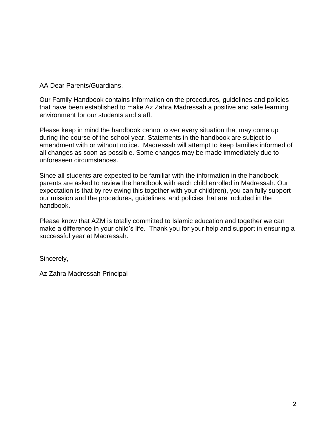AA Dear Parents/Guardians,

Our Family Handbook contains information on the procedures, guidelines and policies that have been established to make Az Zahra Madressah a positive and safe learning environment for our students and staff.

Please keep in mind the handbook cannot cover every situation that may come up during the course of the school year. Statements in the handbook are subject to amendment with or without notice. Madressah will attempt to keep families informed of all changes as soon as possible. Some changes may be made immediately due to unforeseen circumstances.

Since all students are expected to be familiar with the information in the handbook, parents are asked to review the handbook with each child enrolled in Madressah. Our expectation is that by reviewing this together with your child(ren), you can fully support our mission and the procedures, guidelines, and policies that are included in the handbook.

Please know that AZM is totally committed to Islamic education and together we can make a difference in your child's life. Thank you for your help and support in ensuring a successful year at Madressah.

Sincerely,

Az Zahra Madressah Principal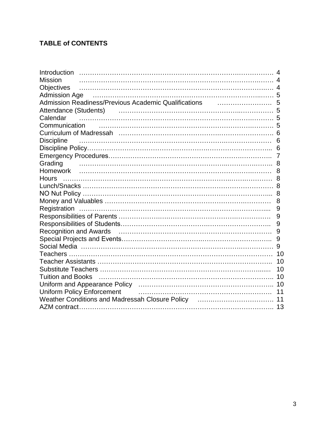# **TABLE of CONTENTS**

| Introduction                                                                                                     |    |
|------------------------------------------------------------------------------------------------------------------|----|
| <b>Mission</b>                                                                                                   |    |
| <b>Objectives</b>                                                                                                |    |
| Admission Age manufactured contains and the contract of the Admission Age 5                                      |    |
|                                                                                                                  |    |
| Attendance (Students) (Electronic Contract and Tattendance (Students)                                            |    |
| Calendar                                                                                                         |    |
|                                                                                                                  |    |
|                                                                                                                  |    |
| <b>Discipline</b>                                                                                                | 6  |
|                                                                                                                  |    |
|                                                                                                                  |    |
| Grading                                                                                                          |    |
|                                                                                                                  |    |
|                                                                                                                  |    |
|                                                                                                                  |    |
|                                                                                                                  |    |
|                                                                                                                  | 8  |
|                                                                                                                  | 9  |
|                                                                                                                  |    |
|                                                                                                                  | 9  |
|                                                                                                                  | 9  |
|                                                                                                                  | 9  |
|                                                                                                                  |    |
|                                                                                                                  |    |
|                                                                                                                  |    |
|                                                                                                                  | 10 |
| Tuition and Books                                                                                                |    |
|                                                                                                                  |    |
| <b>Uniform Policy Enforcement</b>                                                                                |    |
| Weather Conditions and Madressah Closure Policy [11] Weather Conditions and Madressah Closure Policy [11] Matter |    |
|                                                                                                                  |    |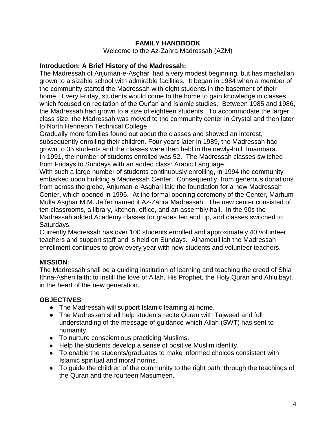#### **FAMILY HANDBOOK**

Welcome to the Az-Zahra Madressah (AZM)

#### **Introduction: A Brief History of the Madressah:**

The Madressah of Anjuman-e-Asghari had a very modest beginning, but has mashallah grown to a sizable school with admirable facilities. It began in 1984 when a member of the community started the Madressah with eight students in the basement of their home. Every Friday, students would come to the home to gain knowledge in classes which focused on recitation of the Qur'an and Islamic studies. Between 1985 and 1986, the Madressah had grown to a size of eighteen students. To accommodate the larger class size, the Madressah was moved to the community center in Crystal and then later to North Hennepin Technical College.

Gradually more families found out about the classes and showed an interest, subsequently enrolling their children. Four years later in 1989, the Madressah had grown to 35 students and the classes were then held in the newly-built Imambara. In 1991, the number of students enrolled was 52. The Madressah classes switched from Fridays to Sundays with an added class: Arabic Language.

With such a large number of students continuously enrolling, in 1994 the community embarked upon building a Madressah Center. Consequently, from generous donations from across the globe, Anjuman-e-Asghari laid the foundation for a new Madressah Center, which opened in 1996. At the formal opening ceremony of the Center, Marhum Mulla Asghar M.M. Jaffer named it Az-Zahra Madressah. The new center consisted of ten classrooms, a library, kitchen, office, and an assembly hall. In the 90s the Madressah added Academy classes for grades ten and up, and classes switched to Saturdays.

Currently Madressah has over 100 students enrolled and approximately 40 volunteer teachers and support staff and is held on Sundays. Alhamdulillah the Madressah enrollment continues to grow every year with new students and volunteer teachers.

#### **MISSION**:

The Madressah shall be a guiding institution of learning and teaching the creed of Shia Ithna-Asheri faith; to instill the love of Allah, His Prophet, the Holy Quran and Ahlulbayt, in the heart of the new generation.

#### **OBJECTIVES**

- The Madressah will support Islamic learning at home.
- The Madressah shall help students recite Quran with Tajweed and full understanding of the message of guidance which Allah (SWT) has sent to humanity.
- To nurture conscientious practicing Muslims.
- Help the students develop a sense of positive Muslim identity.
- To enable the students/graduates to make informed choices consistent with Islamic spiritual and moral norms.
- To guide the children of the community to the right path, through the teachings of the Quran and the fourteen Masumeen.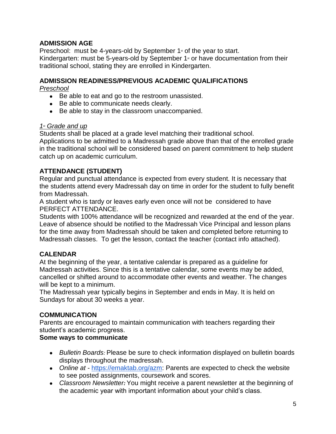# **ADMISSION AGE**

Preschool: must be 4-years-old by September  $1$ <sup> $\ast$ </sup> of the year to start. Kindergarten: must be 5-years-old by September  $1<sup>*</sup>$  or have documentation from their traditional school, stating they are enrolled in Kindergarten.

#### **ADMISSION READINESS/PREVIOUS ACADEMIC QUALIFICATIONS**

*Preschool* 

- Be able to eat and go to the restroom unassisted.
- Be able to communicate needs clearly.
- Be able to stay in the classroom unaccompanied.

#### *1*st *Grade and up*

Students shall be placed at a grade level matching their traditional school.

Applications to be admitted to a Madressah grade above than that of the enrolled grade in the traditional school will be considered based on parent commitment to help student catch up on academic curriculum.

# **ATTENDANCE (STUDENT)**

Regular and punctual attendance is expected from every student. It is necessary that the students attend every Madressah day on time in order for the student to fully benefit from Madressah.

A student who is tardy or leaves early even once will not be considered to have PERFECT ATTENDANCE.

Students with 100% attendance will be recognized and rewarded at the end of the year. Leave of absence should be notified to the Madressah Vice Principal and lesson plans for the time away from Madressah should be taken and completed before returning to Madressah classes. To get the lesson, contact the teacher (contact info attached).

# **CALENDAR**

At the beginning of the year, a tentative calendar is prepared as a guideline for Madressah activities. Since this is a tentative calendar, some events may be added, cancelled or shifted around to accommodate other events and weather. The changes will be kept to a minimum.

The Madressah year typically begins in September and ends in May. It is held on Sundays for about 30 weeks a year.

#### **COMMUNICATION**

Parents are encouraged to maintain communication with teachers regarding their student's academic progress.

#### **Some ways to communicate**

- *Bulletin Boards:* Please be sure to check information displayed on bulletin boards displays throughout the madressah.
- *Online at -* [https://emaktab.org/azm:](https://emaktab.org/azm) Parents are expected to check the website to see posted assignments, coursework and scores.
- *Classroom Newsletter:* You might receive a parent newsletter at the beginning of the academic year with important information about your child's class.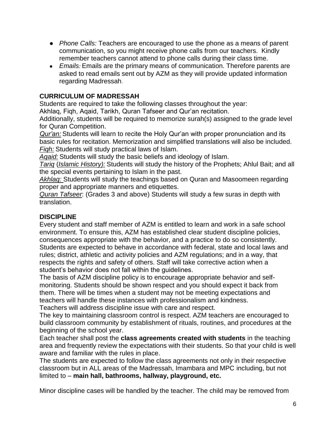- *Phone Calls:* Teachers are encouraged to use the phone as a means of parent communication, so you might receive phone calls from our teachers. Kindly remember teachers cannot attend to phone calls during their class time.
- *Emails:* Emails are the primary means of communication. Therefore parents are asked to read emails sent out by AZM as they will provide updated information regarding Madressah.

#### **CURRICULUM OF MADRESSAH**

Students are required to take the following classes throughout the year:

Akhlaq, Fiqh, Aqaid, Tarikh, Quran Tafseer and Qur'an recitation.

Additionally, students will be required to memorize surah(s) assigned to the grade level for Quran Competition.

*Qur'an:* Students will learn to recite the Holy Qur'an with proper pronunciation and its basic rules for recitation. Memorization and simplified translations will also be included. *Fiqh:* Students will study practical laws of Islam.

*Aqaid:* Students will study the basic beliefs and ideology of Islam.

*Tariq* (*Islamic History):* Students will study the history of the Prophets; Ahlul Bait; and all the special events pertaining to Islam in the past.

*Akhlaq:* Students will study the teachings based on Quran and Masoomeen regarding proper and appropriate manners and etiquettes.

*Quran Tafseer*: (Grades 3 and above) Students will study a few suras in depth with translation.

# **DISCIPLINE**

Every student and staff member of AZM is entitled to learn and work in a safe school environment. To ensure this, AZM has established clear student discipline policies, consequences appropriate with the behavior, and a practice to do so consistently. Students are expected to behave in accordance with federal, state and local laws and rules; district, athletic and activity policies and AZM regulations; and in a way, that respects the rights and safety of others. Staff will take corrective action when a student's behavior does not fall within the guidelines.

The basis of AZM discipline policy is to encourage appropriate behavior and selfmonitoring. Students should be shown respect and you should expect it back from them. There will be times when a student may not be meeting expectations and teachers will handle these instances with professionalism and kindness.

Teachers will address discipline issue with care and respect.

The key to maintaining classroom control is respect. AZM teachers are encouraged to build classroom community by establishment of rituals, routines, and procedures at the beginning of the school year.

Each teacher shall post the **class agreements created with students** in the teaching area and frequently review the expectations with their students. So that your child is well aware and familiar with the rules in place.

The students are expected to follow the class agreements not only in their respective classroom but in ALL areas of the Madressah, Imambara and MPC including, but not limited to – **main hall, bathrooms, hallway, playground, etc.** 

Minor discipline cases will be handled by the teacher. The child may be removed from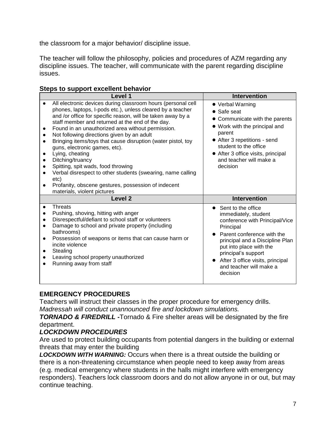the classroom for a major behavior/ discipline issue.

The teacher will follow the philosophy, policies and procedures of AZM regarding any discipline issues. The teacher, will communicate with the parent regarding discipline issues.

|  |  | Steps to support excellent behavior |  |
|--|--|-------------------------------------|--|
|--|--|-------------------------------------|--|

|                        | Level 1                                                                                                                                                                                                                                                                                                                                                                                                                                                                                                                                                                                                                                                                                     | <b>Intervention</b>                                                                                                                                                                                                                                                                       |
|------------------------|---------------------------------------------------------------------------------------------------------------------------------------------------------------------------------------------------------------------------------------------------------------------------------------------------------------------------------------------------------------------------------------------------------------------------------------------------------------------------------------------------------------------------------------------------------------------------------------------------------------------------------------------------------------------------------------------|-------------------------------------------------------------------------------------------------------------------------------------------------------------------------------------------------------------------------------------------------------------------------------------------|
| $\bullet$              | All electronic devices during classroom hours (personal cell<br>phones, laptops, I-pods etc.), unless cleared by a teacher<br>and /or office for specific reason, will be taken away by a<br>staff member and returned at the end of the day.<br>Found in an unauthorized area without permission.<br>Not following directions given by an adult<br>Bringing items/toys that cause disruption (water pistol, toy<br>guns, electronic games, etc).<br>Lying, cheating<br>Ditching/truancy<br>Spitting, spit wads, food throwing<br>Verbal disrespect to other students (swearing, name calling<br>etc)<br>Profanity, obscene gestures, possession of indecent<br>materials, violent pictures | • Verbal Warning<br>• Safe seat<br>• Communicate with the parents<br>• Work with the principal and<br>parent<br>• After 3 repetitions - send<br>student to the office<br>• After 3 office visits, principal<br>and teacher will make a<br>decision                                        |
|                        | Level <sub>2</sub>                                                                                                                                                                                                                                                                                                                                                                                                                                                                                                                                                                                                                                                                          | <b>Intervention</b>                                                                                                                                                                                                                                                                       |
| $\bullet$<br>$\bullet$ | <b>Threats</b><br>Pushing, shoving, hitting with anger<br>Disrespectful/defiant to school staff or volunteers<br>Damage to school and private property (including<br>bathrooms)<br>Possession of weapons or items that can cause harm or<br>incite violence<br>Stealing<br>Leaving school property unauthorized<br>Running away from staff                                                                                                                                                                                                                                                                                                                                                  | Sent to the office<br>immediately, student<br>conference with Principal/Vice<br>Principal<br>Parent conference with the<br>principal and a Discipline Plan<br>put into place with the<br>principal's support<br>• After 3 office visits, principal<br>and teacher will make a<br>decision |

# **EMERGENCY PROCEDURES**

Teachers will instruct their classes in the proper procedure for emergency drills. *Madressah will conduct unannounced fire and lockdown simulations.*

*TORNADO & FIREDRILL -*Tornado & Fire shelter areas will be designated by the fire department.

# *LOCKDOWN PROCEDURES*

Are used to protect building occupants from potential dangers in the building or external threats that may enter the building

*LOCKDOWN WITH WARNING:* Occurs when there is a threat outside the building or there is a non-threatening circumstance when people need to keep away from areas (e.g. medical emergency where students in the halls might interfere with emergency responders). Teachers lock classroom doors and do not allow anyone in or out, but may continue teaching.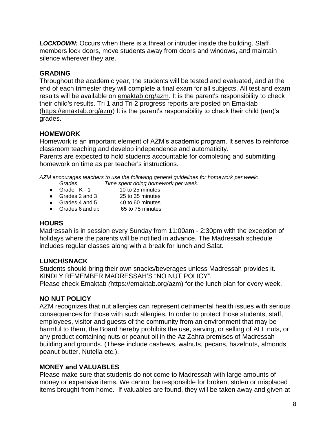*LOCKDOWN:* Occurs when there is a threat or intruder inside the building. Staff members lock doors, move students away from doors and windows, and maintain silence wherever they are.

#### **GRADING**

Throughout the academic year, the students will be tested and evaluated, and at the end of each trimester they will complete a final exam for all subjects. All test and exam results will be available on **emaktab.org/azm.** It is the parent's responsibility to check their child's results. Tri 1 and Tri 2 progress reports are posted on Emaktab [\(https://emaktab.org/azm\)](https://emaktab.org/azm) It is the parent's responsibility to check their child (ren)'s grades.

# **HOMEWORK**

Homework is an important element of AZM's academic program. It serves to reinforce classroom teaching and develop independence and automaticity.

Parents are expected to hold students accountable for completing and submitting homework on time as per teacher's instructions.

*AZM encourages teachers to use the following general guidelines for homework per week: Grades Time spent doing homework per week.*

- 
- Grade  $K 1$  10 to 25 minutes<br>• Grades 2 and 3 25 to 35 minutes
- Grades 2 and 3 25 to 35 minutes<br>● Grades 4 and 5 40 to 60 minutes  $\bullet$  Grades 4 and 5
- Grades 6 and up 65 to 75 minutes

#### **HOURS**

Madressah is in session every Sunday from 11:00am - 2:30pm with the exception of holidays where the parents will be notified in advance. The Madressah schedule includes regular classes along with a break for lunch and Salat.

#### **LUNCH/SNACK**

Students should bring their own snacks/beverages unless Madressah provides it. KINDLY REMEMBER MADRESSAH'S "NO NUT POLICY". Please check Emaktab *(*[https://emaktab.org/azm\)](https://emaktab.org/azm) for the lunch plan for every week.

#### **NO NUT POLICY**

AZM recognizes that nut allergies can represent detrimental health issues with serious consequences for those with such allergies. In order to protect those students, staff, employees, visitor and guests of the community from an environment that may be harmful to them, the Board hereby prohibits the use, serving, or selling of ALL nuts, or any product containing nuts or peanut oil in the Az Zahra premises of Madressah building and grounds. (These include cashews, walnuts, pecans, hazelnuts, almonds, peanut butter, Nutella etc.).

#### **MONEY and VALUABLES**

Please make sure that students do not come to Madressah with large amounts of money or expensive items. We cannot be responsible for broken, stolen or misplaced items brought from home. If valuables are found, they will be taken away and given at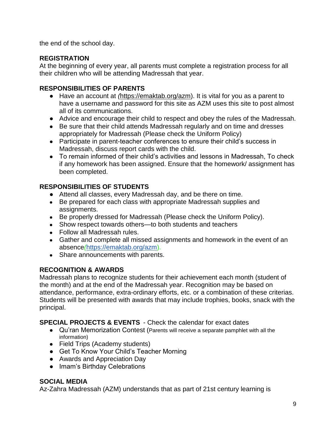the end of the school day.

#### **REGISTRATION**

At the beginning of every year, all parents must complete a registration process for all their children who will be attending Madressah that year.

#### **RESPONSIBILITIES OF PARENTS**

- Have an account at *(*[https://emaktab.org/azm\)](https://emaktab.org/azm). It is vital for you as a parent to have a username and password for this site as AZM uses this site to post almost all of its communications.
- Advice and encourage their child to respect and obey the rules of the Madressah.
- Be sure that their child attends Madressah regularly and on time and dresses appropriately for Madressah (Please check the Uniform Policy)
- Participate in parent-teacher conferences to ensure their child's success in Madressah, discuss report cards with the child.
- To remain informed of their child's activities and lessons in Madressah, To check if any homework has been assigned. Ensure that the homework/ assignment has been completed.

# **RESPONSIBILITIES OF STUDENTS**

- Attend all classes, every Madressah day, and be there on time.
- Be prepared for each class with appropriate Madressah supplies and assignments.
- Be properly dressed for Madressah (Please check the Uniform Policy).
- Show respect towards others—to both students and teachers
- Follow all Madressah rules.
- Gather and complete all missed assignments and homework in the event of an absence*(*[https://emaktab.org/azm\)](https://emaktab.org/azm).
- Share announcements with parents.

# **RECOGNITION & AWARDS**

Madressah plans to recognize students for their achievement each month (student of the month) and at the end of the Madressah year. Recognition may be based on attendance, performance, extra-ordinary efforts, etc. or a combination of these criterias. Students will be presented with awards that may include trophies, books, snack with the principal.

**SPECIAL PROJECTS & EVENTS** - Check the calendar for exact dates

- Qu'ran Memorization Contest (Parents will receive a separate pamphlet with all the information)
- Field Trips (Academy students)
- Get To Know Your Child's Teacher Morning
- Awards and Appreciation Day
- Imam's Birthday Celebrations

# **SOCIAL MEDIA**

Az-Zahra Madressah (AZM) understands that as part of 21st century learning is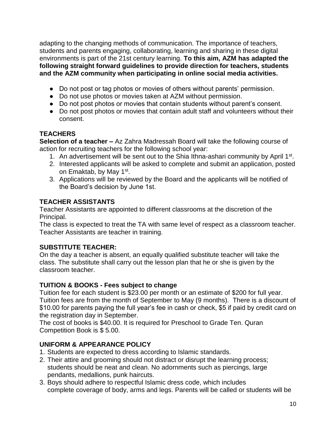adapting to the changing methods of communication. The importance of teachers, students and parents engaging, collaborating, learning and sharing in these digital environments is part of the 21st century learning. **To this aim, AZM has adapted the following straight forward guidelines to provide direction for teachers, students and the AZM community when participating in online social media activities.** 

- Do not post or tag photos or movies of others without parents' permission.
- Do not use photos or movies taken at AZM without permission.
- Do not post photos or movies that contain students without parent's consent.
- Do not post photos or movies that contain adult staff and volunteers without their consent.

# **TEACHERS**

**Selection of a teacher –** Az Zahra Madressah Board will take the following course of action for recruiting teachers for the following school year:

- 1. An advertisement will be sent out to the Shia Ithna-ashari community by April 1<sup>st</sup>.
- 2. Interested applicants will be asked to complete and submit an application, posted on Emaktab, by May 1<sup>st</sup>.
- 3. Applications will be reviewed by the Board and the applicants will be notified of the Board's decision by June 1st.

# **TEACHER ASSISTANTS**

Teacher Assistants are appointed to different classrooms at the discretion of the Principal.

The class is expected to treat the TA with same level of respect as a classroom teacher. Teacher Assistants are teacher in training.

# **SUBSTITUTE TEACHER:**

On the day a teacher is absent, an equally qualified substitute teacher will take the class. The substitute shall carry out the lesson plan that he or she is given by the classroom teacher.

# **TUITION & BOOKS - Fees subject to change**

Tuition fee for each student is \$23.00 per month or an estimate of \$200 for full year. Tuition fees are from the month of September to May (9 months). There is a discount of \$10.00 for parents paying the full year's fee in cash or check, \$5 if paid by credit card on the registration day in September.

The cost of books is \$40.00. It is required for Preschool to Grade Ten. Quran Competition Book is \$ 5.00.

# **UNIFORM & APPEARANCE POLICY**

- 1. Students are expected to dress according to Islamic standards.
- 2. Their attire and grooming should not distract or disrupt the learning process; students should be neat and clean. No adornments such as piercings, large pendants, medallions, punk haircuts.
- 3. Boys should adhere to respectful Islamic dress code, which includes complete coverage of body, arms and legs. Parents will be called or students will be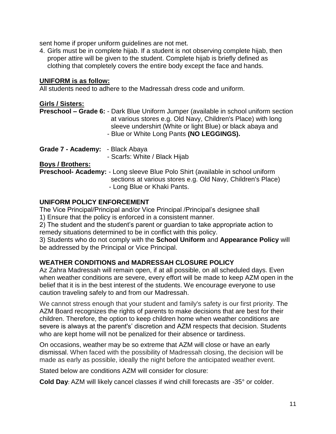sent home if proper uniform guidelines are not met.

4. Girls must be in complete hijab. If a student is not observing complete hijab, then proper attire will be given to the student. Complete hijab is briefly defined as clothing that completely covers the entire body except the face and hands.

#### **UNIFORM is as follow:**

All students need to adhere to the Madressah dress code and uniform.

#### **Girls / Sisters:**

**Preschool – Grade 6:** - Dark Blue Uniform Jumper (available in school uniform section at various stores e.g. Old Navy, Children's Place) with long sleeve undershirt (White or light Blue) or black abaya and - Blue or White Long Pants **(NO LEGGINGS).** 

**Grade 7 - Academy:** - Black Abaya

- Scarfs: White / Black Hijab

**Boys / Brothers:**

**Preschool- Academy:** - Long sleeve Blue Polo Shirt (available in school uniform sections at various stores e.g. Old Navy, Children's Place) - Long Blue or Khaki Pants.

#### **UNIFORM POLICY ENFORCEMENT**

The Vice Principal/Principal and/or Vice Principal /Principal's designee shall

1) Ensure that the policy is enforced in a consistent manner.

2) The student and the student's parent or guardian to take appropriate action to remedy situations determined to be in conflict with this policy.

3) Students who do not comply with the **School Uniform** and **Appearance Policy** will be addressed by the Principal or Vice Principal.

#### **WEATHER CONDITIONS and MADRESSAH CLOSURE POLICY**

Az Zahra Madressah will remain open, if at all possible, on all scheduled days. Even when weather conditions are severe, every effort will be made to keep AZM open in the belief that it is in the best interest of the students. We encourage everyone to use caution traveling safely to and from our Madressah.

We cannot stress enough that your student and family's safety is our first priority. The AZM Board recognizes the rights of parents to make decisions that are best for their children. Therefore, the option to keep children home when weather conditions are severe is always at the parent's' discretion and AZM respects that decision. Students who are kept home will not be penalized for their absence or tardiness.

On occasions, weather may be so extreme that AZM will close or have an early dismissal. When faced with the possibility of Madressah closing, the decision will be made as early as possible, ideally the night before the anticipated weather event.

Stated below are conditions AZM will consider for closure:

**Cold Day**: AZM will likely cancel classes if wind chill forecasts are -35° or colder.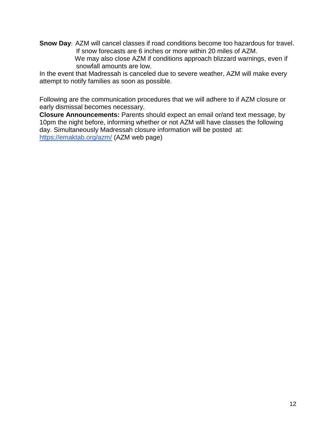**Snow Day**: AZM will cancel classes if road conditions become too hazardous for travel. If snow forecasts are 6 inches or more within 20 miles of AZM. We may also close AZM if conditions approach blizzard warnings, even if snowfall amounts are low.

In the event that Madressah is canceled due to severe weather, AZM will make every attempt to notify families as soon as possible.

Following are the communication procedures that we will adhere to if AZM closure or early dismissal becomes necessary.

**Closure Announcements:** Parents should expect an email or/and text message, by 10pm the night before, informing whether or not AZM will have classes the following day. Simultaneously Madressah closure information will be posted at: <https://emaktab.org/azm/> (AZM web page)